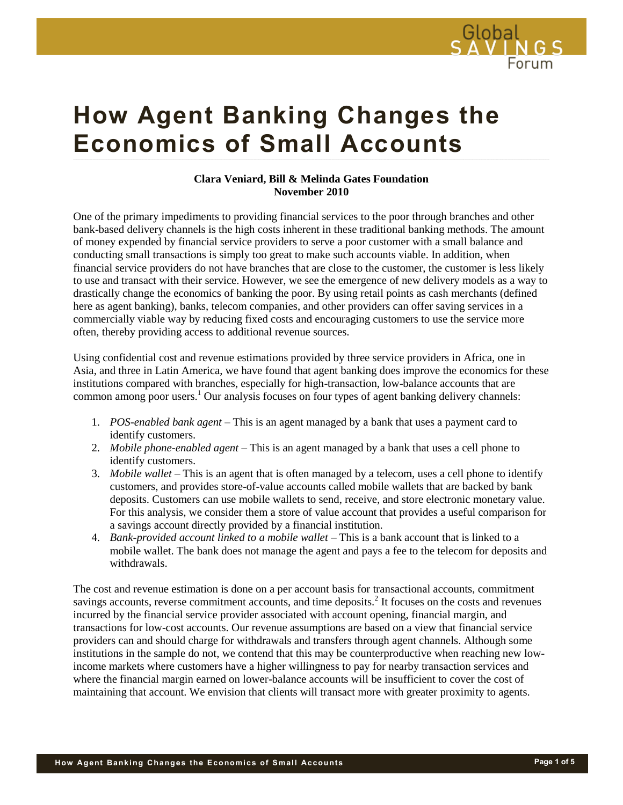

# **How Agent Banking Changes the Economics of Small Accounts**

#### **Clara Veniard, Bill & Melinda Gates Foundation November 2010**

One of the primary impediments to providing financial services to the poor through branches and other bank-based delivery channels is the high costs inherent in these traditional banking methods. The amount of money expended by financial service providers to serve a poor customer with a small balance and conducting small transactions is simply too great to make such accounts viable. In addition, when financial service providers do not have branches that are close to the customer, the customer is less likely to use and transact with their service. However, we see the emergence of new delivery models as a way to drastically change the economics of banking the poor. By using retail points as cash merchants (defined here as agent banking), banks, telecom companies, and other providers can offer saving services in a commercially viable way by reducing fixed costs and encouraging customers to use the service more often, thereby providing access to additional revenue sources.

Using confidential cost and revenue estimations provided by three service providers in Africa, one in Asia, and three in Latin America, we have found that agent banking does improve the economics for these institutions compared with branches, especially for high-transaction, low-balance accounts that are common among poor users.<sup>1</sup> Our analysis focuses on four types of agent banking delivery channels:

- 1. *POS-enabled bank agent* This is an agent managed by a bank that uses a payment card to identify customers.
- 2. *Mobile phone-enabled agent* This is an agent managed by a bank that uses a cell phone to identify customers.
- 3. *Mobile wallet* This is an agent that is often managed by a telecom, uses a cell phone to identify customers, and provides store-of-value accounts called mobile wallets that are backed by bank deposits. Customers can use mobile wallets to send, receive, and store electronic monetary value. For this analysis, we consider them a store of value account that provides a useful comparison for a savings account directly provided by a financial institution.
- 4. *Bank-provided account linked to a mobile wallet* This is a bank account that is linked to a mobile wallet. The bank does not manage the agent and pays a fee to the telecom for deposits and withdrawals.

The cost and revenue estimation is done on a per account basis for transactional accounts, commitment savings accounts, reverse commitment accounts, and time deposits.<sup>2</sup> It focuses on the costs and revenues incurred by the financial service provider associated with account opening, financial margin, and transactions for low-cost accounts. Our revenue assumptions are based on a view that financial service providers can and should charge for withdrawals and transfers through agent channels. Although some institutions in the sample do not, we contend that this may be counterproductive when reaching new lowincome markets where customers have a higher willingness to pay for nearby transaction services and where the financial margin earned on lower-balance accounts will be insufficient to cover the cost of maintaining that account. We envision that clients will transact more with greater proximity to agents.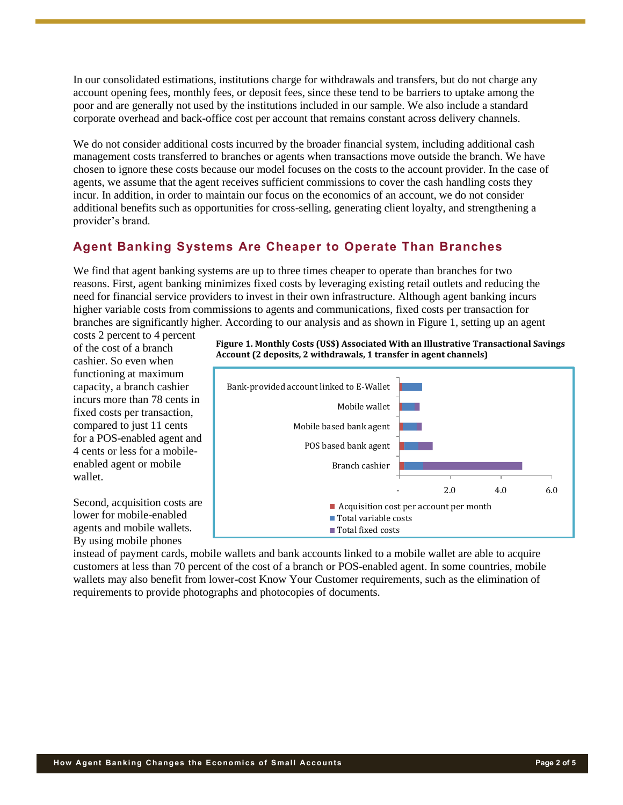In our consolidated estimations, institutions charge for withdrawals and transfers, but do not charge any account opening fees, monthly fees, or deposit fees, since these tend to be barriers to uptake among the poor and are generally not used by the institutions included in our sample. We also include a standard corporate overhead and back-office cost per account that remains constant across delivery channels.

We do not consider additional costs incurred by the broader financial system, including additional cash management costs transferred to branches or agents when transactions move outside the branch. We have chosen to ignore these costs because our model focuses on the costs to the account provider. In the case of agents, we assume that the agent receives sufficient commissions to cover the cash handling costs they incur. In addition, in order to maintain our focus on the economics of an account, we do not consider additional benefits such as opportunities for cross-selling, generating client loyalty, and strengthening a provider's brand.

## **Agent Banking Systems Are Cheaper to Operate Than Branches**

We find that agent banking systems are up to three times cheaper to operate than branches for two reasons. First, agent banking minimizes fixed costs by leveraging existing retail outlets and reducing the need for financial service providers to invest in their own infrastructure. Although agent banking incurs higher variable costs from commissions to agents and communications, fixed costs per transaction for branches are significantly higher. According to our analysis and as shown in Figure 1, setting up an agent

costs 2 percent to 4 percent of the cost of a branch cashier. So even when functioning at maximum capacity, a branch cashier incurs more than 78 cents in fixed costs per transaction, compared to just 11 cents for a POS-enabled agent and 4 cents or less for a mobileenabled agent or mobile wallet.

Second, acquisition costs are lower for mobile-enabled agents and mobile wallets. By using mobile phones





instead of payment cards, mobile wallets and bank accounts linked to a mobile wallet are able to acquire customers at less than 70 percent of the cost of a branch or POS-enabled agent. In some countries, mobile wallets may also benefit from lower-cost Know Your Customer requirements, such as the elimination of requirements to provide photographs and photocopies of documents.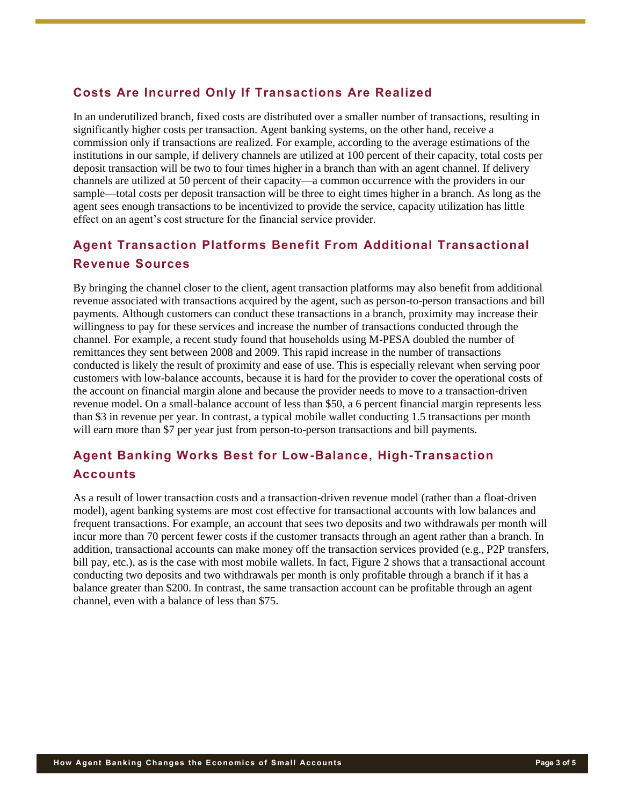## **Costs Are Incurred Only If Transactions Are Realized**

In an underutilized branch, fixed costs are distributed over a smaller number of transactions, resulting in significantly higher costs per transaction. Agent banking systems, on the other hand, receive a commission only if transactions are realized. For example, according to the average estimations of the institutions in our sample, if delivery channels are utilized at 100 percent of their capacity, total costs per deposit transaction will be two to four times higher in a branch than with an agent channel. If delivery channels are utilized at 50 percent of their capacity—a common occurrence with the providers in our sample—total costs per deposit transaction will be three to eight times higher in a branch. As long as the agent sees enough transactions to be incentivized to provide the service, capacity utilization has little effect on an agent's cost structure for the financial service provider.

# **Agent Transaction Platforms Benefit From Additional Transactional Revenue Sources**

By bringing the channel closer to the client, agent transaction platforms may also benefit from additional revenue associated with transactions acquired by the agent, such as person-to-person transactions and bill payments. Although customers can conduct these transactions in a branch, proximity may increase their willingness to pay for these services and increase the number of transactions conducted through the channel. For example, a recent study found that households using M-PESA doubled the number of remittances they sent between 2008 and 2009. This rapid increase in the number of transactions conducted is likely the result of proximity and ease of use. This is especially relevant when serving poor customers with low-balance accounts, because it is hard for the provider to cover the operational costs of the account on financial margin alone and because the provider needs to move to a transaction-driven revenue model. On a small-balance account of less than \$50, a 6 percent financial margin represents less than \$3 in revenue per year. In contrast, a typical mobile wallet conducting 1.5 transactions per month will earn more than \$7 per year just from person-to-person transactions and bill payments.

# **Agent Banking Works Best for Low-Balance, High-Transaction Accounts**

As a result of lower transaction costs and a transaction-driven revenue model (rather than a float-driven model), agent banking systems are most cost effective for transactional accounts with low balances and frequent transactions. For example, an account that sees two deposits and two withdrawals per month will incur more than 70 percent fewer costs if the customer transacts through an agent rather than a branch. In addition, transactional accounts can make money off the transaction services provided (e.g., P2P transfers, bill pay, etc.), as is the case with most mobile wallets. In fact, Figure 2 shows that a transactional account conducting two deposits and two withdrawals per month is only profitable through a branch if it has a balance greater than \$200. In contrast, the same transaction account can be profitable through an agent channel, even with a balance of less than \$75.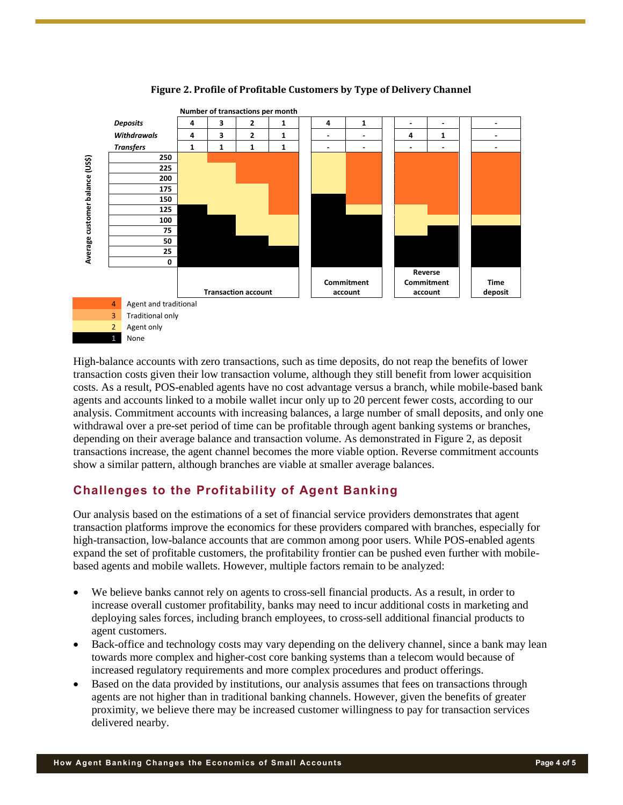

#### **Figure 2. Profile of Profitable Customers by Type of Delivery Channel**

High-balance accounts with zero transactions, such as time deposits, do not reap the benefits of lower transaction costs given their low transaction volume, although they still benefit from lower acquisition costs. As a result, POS-enabled agents have no cost advantage versus a branch, while mobile-based bank agents and accounts linked to a mobile wallet incur only up to 20 percent fewer costs, according to our analysis. Commitment accounts with increasing balances, a large number of small deposits, and only one withdrawal over a pre-set period of time can be profitable through agent banking systems or branches, depending on their average balance and transaction volume. As demonstrated in Figure 2, as deposit transactions increase, the agent channel becomes the more viable option. Reverse commitment accounts show a similar pattern, although branches are viable at smaller average balances.

### **Challenges to the Profitability of Agent Banking**

Our analysis based on the estimations of a set of financial service providers demonstrates that agent transaction platforms improve the economics for these providers compared with branches, especially for high-transaction, low-balance accounts that are common among poor users. While POS-enabled agents expand the set of profitable customers, the profitability frontier can be pushed even further with mobilebased agents and mobile wallets. However, multiple factors remain to be analyzed:

- We believe banks cannot rely on agents to cross-sell financial products. As a result, in order to increase overall customer profitability, banks may need to incur additional costs in marketing and deploying sales forces, including branch employees, to cross-sell additional financial products to agent customers.
- Back-office and technology costs may vary depending on the delivery channel, since a bank may lean towards more complex and higher-cost core banking systems than a telecom would because of increased regulatory requirements and more complex procedures and product offerings.
- Based on the data provided by institutions, our analysis assumes that fees on transactions through agents are not higher than in traditional banking channels. However, given the benefits of greater proximity, we believe there may be increased customer willingness to pay for transaction services delivered nearby.